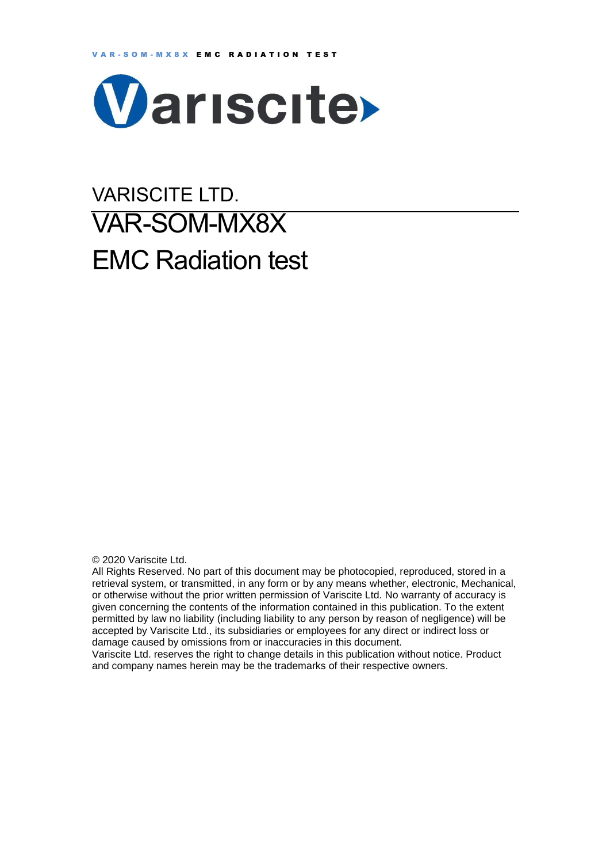

# VARISCITE LTD. VAR-SOM-MX8X EMC Radiation test

© 2020 Variscite Ltd.

All Rights Reserved. No part of this document may be photocopied, reproduced, stored in a retrieval system, or transmitted, in any form or by any means whether, electronic, Mechanical, or otherwise without the prior written permission of Variscite Ltd. No warranty of accuracy is given concerning the contents of the information contained in this publication. To the extent permitted by law no liability (including liability to any person by reason of negligence) will be accepted by Variscite Ltd., its subsidiaries or employees for any direct or indirect loss or damage caused by omissions from or inaccuracies in this document.

Variscite Ltd. reserves the right to change details in this publication without notice. Product and company names herein may be the trademarks of their respective owners.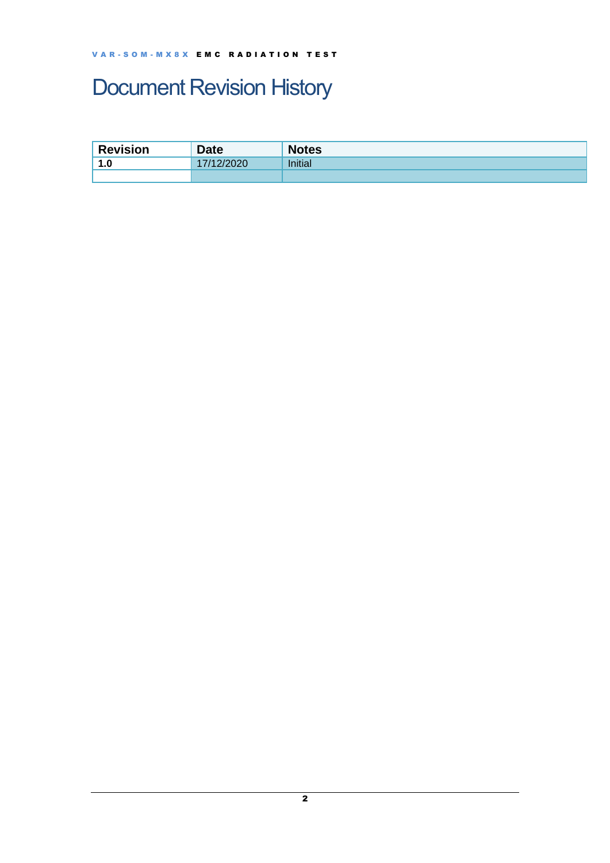## <span id="page-1-0"></span>Document Revision History

| <b>Revision</b>         | <b>Date</b> | <b>Notes</b>   |
|-------------------------|-------------|----------------|
| 1.0<br>$\boldsymbol{A}$ | 1122020     | <b>Initial</b> |
|                         |             |                |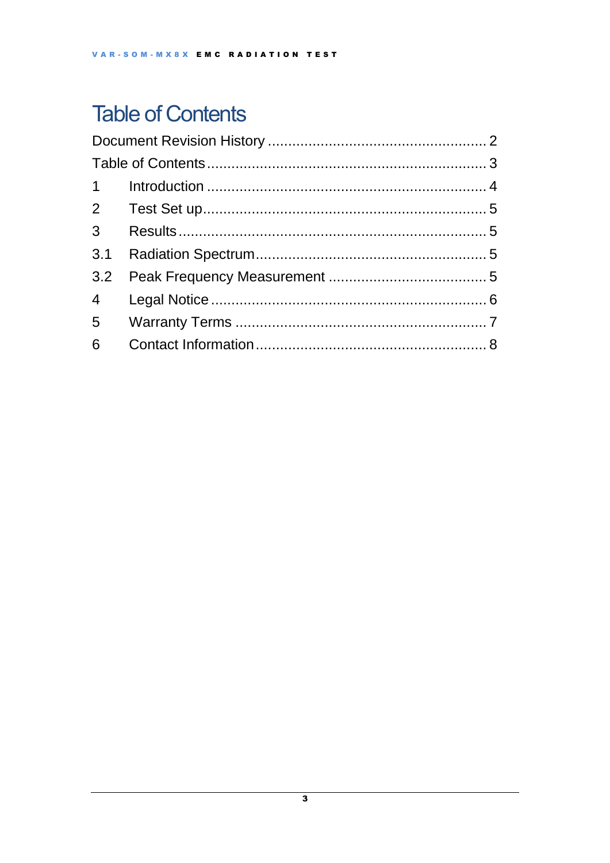## <span id="page-2-0"></span>**Table of Contents**

| 3 <sup>7</sup>  |  |  |  |  |
|-----------------|--|--|--|--|
| 3.1             |  |  |  |  |
|                 |  |  |  |  |
| $4\overline{ }$ |  |  |  |  |
|                 |  |  |  |  |
| 6               |  |  |  |  |
|                 |  |  |  |  |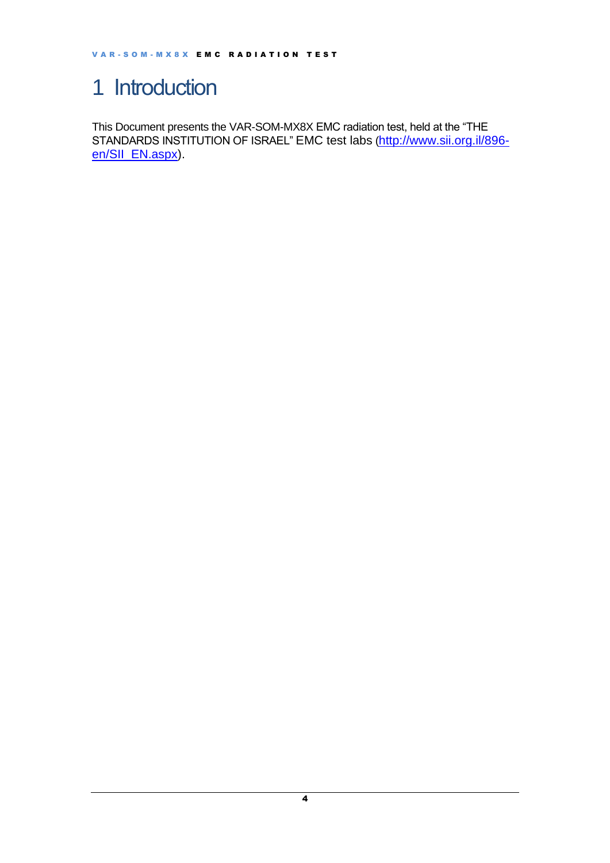## <span id="page-3-0"></span>1 Introduction

This Document presents the VAR-SOM-MX8X EMC radiation test, held at the "THE STANDARDS INSTITUTION OF ISRAEL" EMC test labs ([http://www.sii.org.il/896](http://www.sii.org.il/896-en/SII_EN.aspx) [en/SII\\_EN.aspx\)](http://www.sii.org.il/896-en/SII_EN.aspx).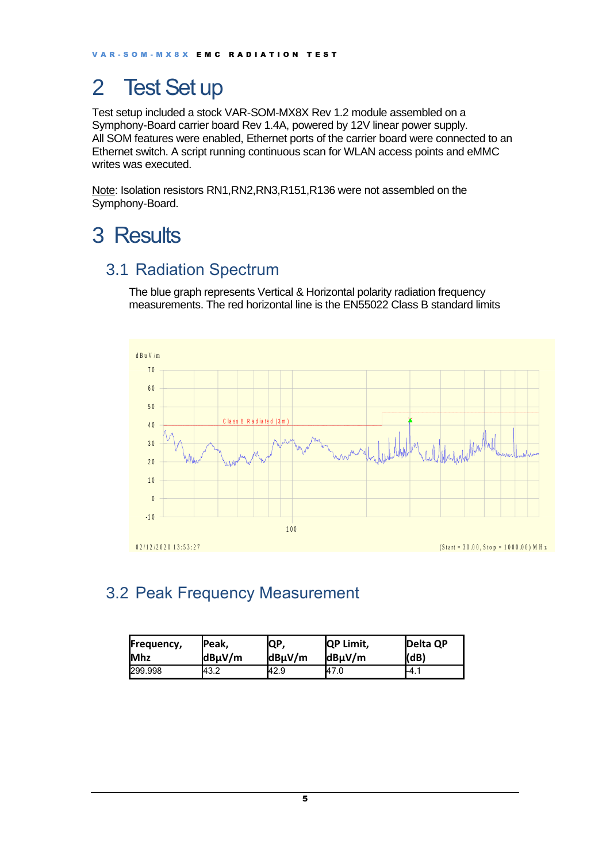### <span id="page-4-0"></span>2 Test Set up

Test setup included a stock VAR-SOM-MX8X Rev 1.2 module assembled on a Symphony-Board carrier board Rev 1.4A, powered by 12V linear power supply. All SOM features were enabled, Ethernet ports of the carrier board were connected to an Ethernet switch. A script running continuous scan for WLAN access points and eMMC writes was executed.

Note: Isolation resistors RN1, RN2, RN3, R151, R136 were not assembled on the Symphony-Board.

### <span id="page-4-1"></span>3 Results

#### <span id="page-4-2"></span>3.1 Radiation Spectrum

The blue graph represents Vertical & Horizontal polarity radiation frequency measurements. The red horizontal line is the EN55022 Class B standard limits



#### <span id="page-4-3"></span>3.2 Peak Frequency Measurement

| Frequency,  | lPeak, | QP,    | <b>QP Limit,</b> | <b>IDelta QP</b> |
|-------------|--------|--------|------------------|------------------|
| <b>IMhz</b> | dBµV/m | dBµV/m | $dB\mu V/m$      | (dB)             |
| 299.998     | 43.2   | 42.9   | 47.0             | I-4.1            |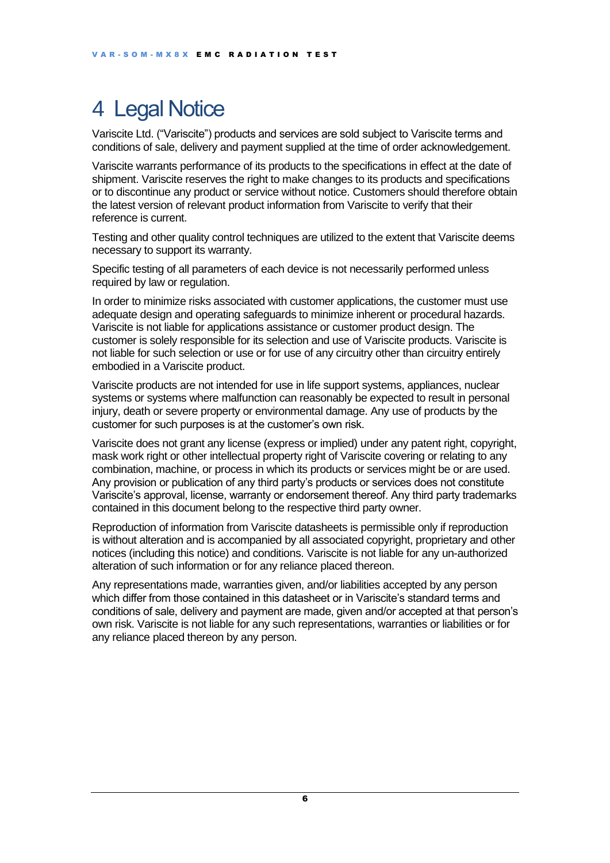## <span id="page-5-0"></span>4 Legal Notice

Variscite Ltd. ("Variscite") products and services are sold subject to Variscite terms and conditions of sale, delivery and payment supplied at the time of order acknowledgement.

Variscite warrants performance of its products to the specifications in effect at the date of shipment. Variscite reserves the right to make changes to its products and specifications or to discontinue any product or service without notice. Customers should therefore obtain the latest version of relevant product information from Variscite to verify that their reference is current.

Testing and other quality control techniques are utilized to the extent that Variscite deems necessary to support its warranty.

Specific testing of all parameters of each device is not necessarily performed unless required by law or regulation.

In order to minimize risks associated with customer applications, the customer must use adequate design and operating safeguards to minimize inherent or procedural hazards. Variscite is not liable for applications assistance or customer product design. The customer is solely responsible for its selection and use of Variscite products. Variscite is not liable for such selection or use or for use of any circuitry other than circuitry entirely embodied in a Variscite product.

Variscite products are not intended for use in life support systems, appliances, nuclear systems or systems where malfunction can reasonably be expected to result in personal injury, death or severe property or environmental damage. Any use of products by the customer for such purposes is at the customer's own risk.

Variscite does not grant any license (express or implied) under any patent right, copyright, mask work right or other intellectual property right of Variscite covering or relating to any combination, machine, or process in which its products or services might be or are used. Any provision or publication of any third party's products or services does not constitute Variscite's approval, license, warranty or endorsement thereof. Any third party trademarks contained in this document belong to the respective third party owner.

Reproduction of information from Variscite datasheets is permissible only if reproduction is without alteration and is accompanied by all associated copyright, proprietary and other notices (including this notice) and conditions. Variscite is not liable for any un-authorized alteration of such information or for any reliance placed thereon.

Any representations made, warranties given, and/or liabilities accepted by any person which differ from those contained in this datasheet or in Variscite's standard terms and conditions of sale, delivery and payment are made, given and/or accepted at that person's own risk. Variscite is not liable for any such representations, warranties or liabilities or for any reliance placed thereon by any person.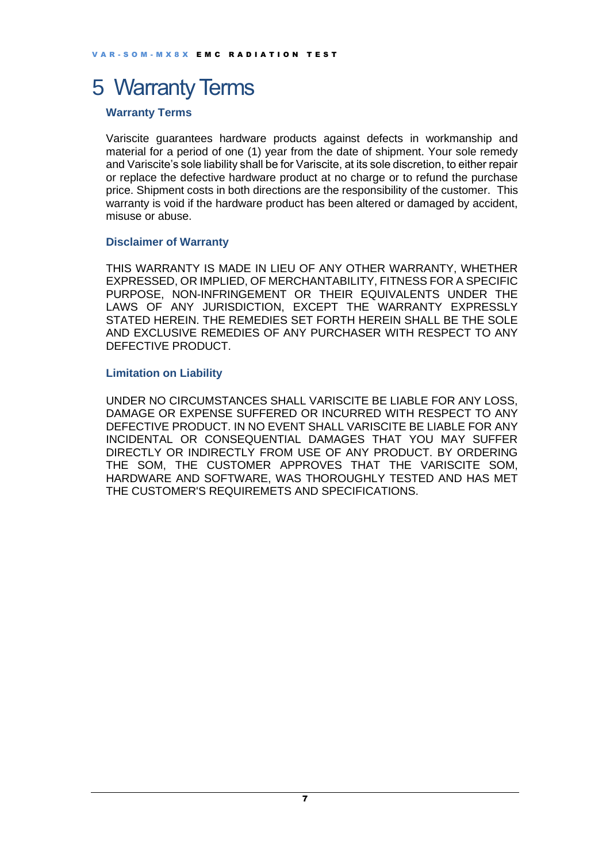### <span id="page-6-0"></span>5 Warranty Terms

#### **Warranty Terms**

Variscite guarantees hardware products against defects in workmanship and material for a period of one (1) year from the date of shipment. Your sole remedy and Variscite's sole liability shall be for Variscite, at its sole discretion, to either repair or replace the defective hardware product at no charge or to refund the purchase price. Shipment costs in both directions are the responsibility of the customer. This warranty is void if the hardware product has been altered or damaged by accident, misuse or abuse.

#### **Disclaimer of Warranty**

THIS WARRANTY IS MADE IN LIEU OF ANY OTHER WARRANTY, WHETHER EXPRESSED, OR IMPLIED, OF MERCHANTABILITY, FITNESS FOR A SPECIFIC PURPOSE, NON-INFRINGEMENT OR THEIR EQUIVALENTS UNDER THE LAWS OF ANY JURISDICTION, EXCEPT THE WARRANTY EXPRESSLY STATED HEREIN. THE REMEDIES SET FORTH HEREIN SHALL BE THE SOLE AND EXCLUSIVE REMEDIES OF ANY PURCHASER WITH RESPECT TO ANY DEFECTIVE PRODUCT.

#### **Limitation on Liability**

UNDER NO CIRCUMSTANCES SHALL VARISCITE BE LIABLE FOR ANY LOSS, DAMAGE OR EXPENSE SUFFERED OR INCURRED WITH RESPECT TO ANY DEFECTIVE PRODUCT. IN NO EVENT SHALL VARISCITE BE LIABLE FOR ANY INCIDENTAL OR CONSEQUENTIAL DAMAGES THAT YOU MAY SUFFER DIRECTLY OR INDIRECTLY FROM USE OF ANY PRODUCT. BY ORDERING THE SOM, THE CUSTOMER APPROVES THAT THE VARISCITE SOM, HARDWARE AND SOFTWARE, WAS THOROUGHLY TESTED AND HAS MET THE CUSTOMER'S REQUIREMETS AND SPECIFICATIONS.